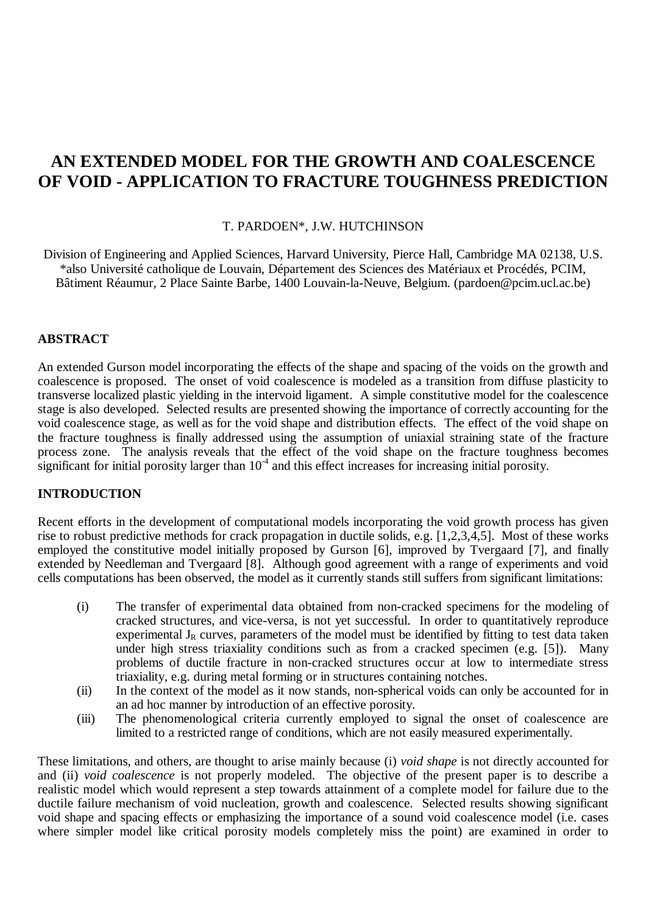# **AN EXTENDED MODEL FOR THE GROWTH AND COALESCENCE OF VOID - APPLICATION TO FRACTURE TOUGHNESS PREDICTION**

## T. PARDOEN\*, J.W. HUTCHINSON

Division of Engineering and Applied Sciences, Harvard University, Pierce Hall, Cambridge MA 02138, U.S. \*also Université catholique de Louvain, Département des Sciences des Matériaux et Procédés, PCIM, Bâtiment Réaumur, 2 Place Sainte Barbe, 1400 Louvain-la-Neuve, Belgium. (pardoen@pcim.ucl.ac.be)

# **ABSTRACT**

An extended Gurson model incorporating the effects of the shape and spacing of the voids on the growth and coalescence is proposed. The onset of void coalescence is modeled as a transition from diffuse plasticity to transverse localized plastic yielding in the intervoid ligament. A simple constitutive model for the coalescence stage is also developed. Selected results are presented showing the importance of correctly accounting for the void coalescence stage, as well as for the void shape and distribution effects. The effect of the void shape on the fracture toughness is finally addressed using the assumption of uniaxial straining state of the fracture process zone. The analysis reveals that the effect of the void shape on the fracture toughness becomes significant for initial porosity larger than  $10^{-4}$  and this effect increases for increasing initial porosity.

# **INTRODUCTION**

Recent efforts in the development of computational models incorporating the void growth process has given rise to robust predictive methods for crack propagation in ductile solids, e.g. [1,2,3,4,5]. Most of these works employed the constitutive model initially proposed by Gurson [6], improved by Tvergaard [7], and finally extended by Needleman and Tvergaard [8]. Although good agreement with a range of experiments and void cells computations has been observed, the model as it currently stands still suffers from significant limitations:

- (i) The transfer of experimental data obtained from non-cracked specimens for the modeling of cracked structures, and vice-versa, is not yet successful. In order to quantitatively reproduce experimental  $J_R$  curves, parameters of the model must be identified by fitting to test data taken under high stress triaxiality conditions such as from a cracked specimen (e.g. [5]). Many problems of ductile fracture in non-cracked structures occur at low to intermediate stress triaxiality, e.g. during metal forming or in structures containing notches.
- (ii) In the context of the model as it now stands, non-spherical voids can only be accounted for in an ad hoc manner by introduction of an effective porosity.
- (iii) The phenomenological criteria currently employed to signal the onset of coalescence are limited to a restricted range of conditions, which are not easily measured experimentally.

These limitations, and others, are thought to arise mainly because (i) *void shape* is not directly accounted for and (ii) *void coalescence* is not properly modeled. The objective of the present paper is to describe a realistic model which would represent a step towards attainment of a complete model for failure due to the ductile failure mechanism of void nucleation, growth and coalescence. Selected results showing significant void shape and spacing effects or emphasizing the importance of a sound void coalescence model (i.e. cases where simpler model like critical porosity models completely miss the point) are examined in order to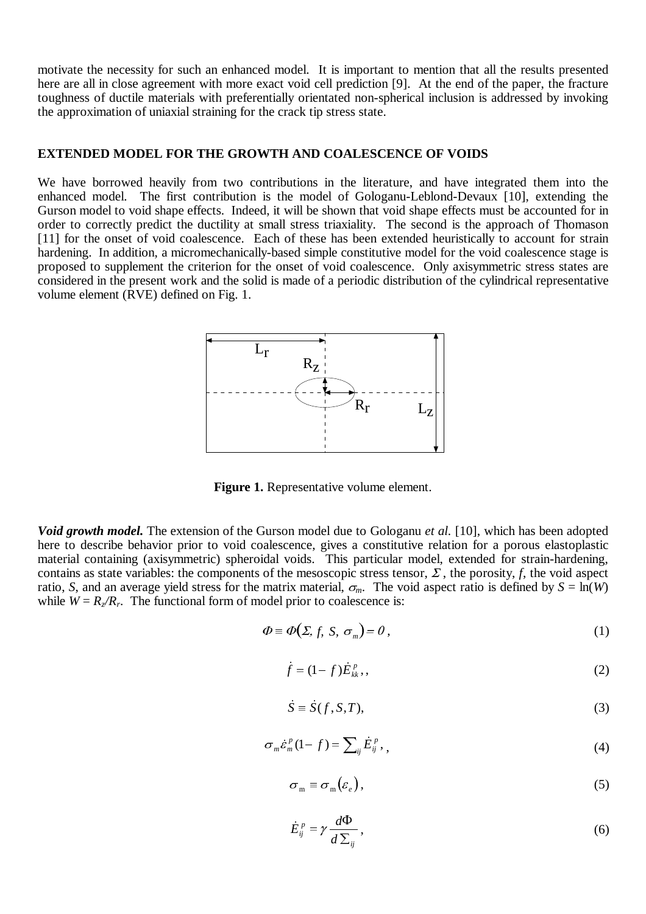motivate the necessity for such an enhanced model. It is important to mention that all the results presented here are all in close agreement with more exact void cell prediction [9]. At the end of the paper, the fracture toughness of ductile materials with preferentially orientated non-spherical inclusion is addressed by invoking the approximation of uniaxial straining for the crack tip stress state.

### **EXTENDED MODEL FOR THE GROWTH AND COALESCENCE OF VOIDS**

We have borrowed heavily from two contributions in the literature, and have integrated them into the enhanced model. The first contribution is the model of Gologanu-Leblond-Devaux [10], extending the Gurson model to void shape effects. Indeed, it will be shown that void shape effects must be accounted for in order to correctly predict the ductility at small stress triaxiality. The second is the approach of Thomason [11] for the onset of void coalescence. Each of these has been extended heuristically to account for strain hardening. In addition, a micromechanically-based simple constitutive model for the void coalescence stage is proposed to supplement the criterion for the onset of void coalescence. Only axisymmetric stress states are considered in the present work and the solid is made of a periodic distribution of the cylindrical representative volume element (RVE) defined on Fig. 1.



**Figure 1.** Representative volume element.

*Void growth model.* The extension of the Gurson model due to Gologanu *et al.* [10], which has been adopted here to describe behavior prior to void coalescence, gives a constitutive relation for a porous elastoplastic material containing (axisymmetric) spheroidal voids. This particular model, extended for strain-hardening, contains as state variables: the components of the mesoscopic stress tensor,  $\Sigma$ , the porosity,  $f$ , the void aspect ratio, *S*, and an average yield stress for the matrix material,  $\sigma_m$ . The void aspect ratio is defined by  $S = \ln(W)$ while  $W = R_{\gamma}/R_r$ . The functional form of model prior to coalescence is: prior to coalescence is:<br>  $\Phi(\Sigma, f, S, \sigma_m) = 0$ , (1)<br>  $\dot{f} = (1 - f) \dot{E}_k^p$ , (2)

$$
\Phi = \Phi(\Sigma, f, S, \sigma_m) = 0, \qquad (1)
$$

$$
\Phi(\Sigma, f, S, \sigma_m) = 0,
$$
\n
$$
f = (1 - f) \dot{E}_{kk}^p,
$$
\n
$$
\dot{S} = \dot{S}(f, S, T),
$$
\n(3)

$$
S \equiv S(f, S, T),\tag{3}
$$

$$
f = (1 - f)E_{kk}^{p},
$$
\n
$$
\dot{S} = \dot{S}(f, S, T),
$$
\n
$$
\sigma_m \dot{\varepsilon}_m^p (1 - f) = \sum_{ij} \dot{E}_{ij}^p,
$$
\n(4)

$$
\sigma_{\mathbf{m}} \equiv \sigma_{\mathbf{m}}(\varepsilon_{e}),\tag{5}
$$

$$
\sigma_{\mathbf{m}} \equiv \sigma_{\mathbf{m}}(\varepsilon_e),
$$
\n
$$
\dot{E}_{ij}^p = \gamma \frac{d\Phi}{d\Sigma_{ij}},
$$
\n(6)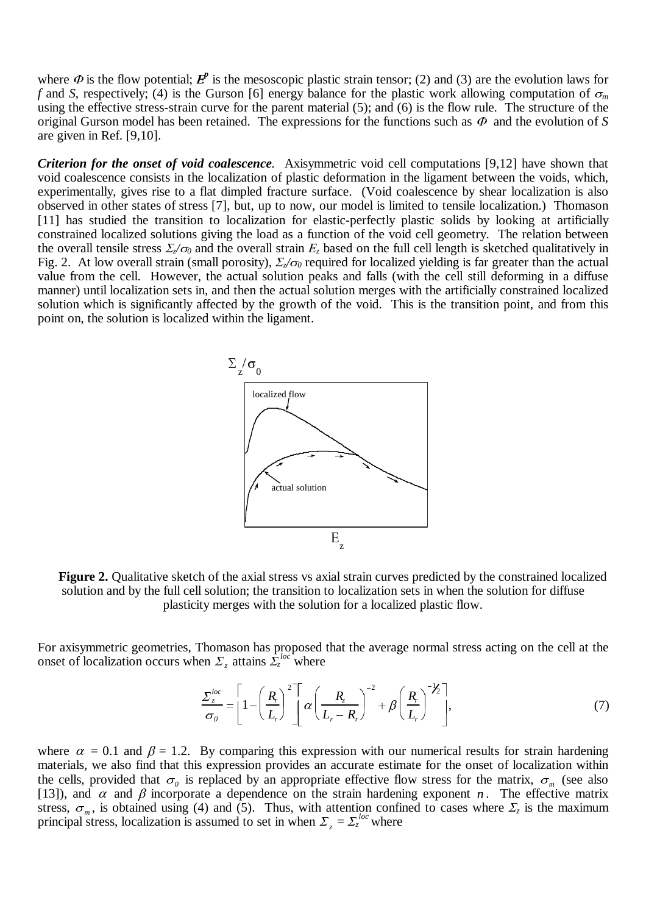where  $\Phi$  is the flow potential;  $\mathbf{F}^p$  is the mesoscopic plastic strain tensor; (2) and (3) are the evolution laws for *f* and *S*, respectively; (4) is the Gurson [6] energy balance for the plastic work allowing computation of  $\sigma_m$ using the effective stress-strain curve for the parent material (5); and (6) is the flow rule. The structure of the original Gurson model has been retained. The expressions for the functions such as  $\Phi$  and the evolution of *S* are given in Ref. [9,10].

*Criterion for the onset of void coalescence.* Axisymmetric void cell computations [9,12] have shown that void coalescence consists in the localization of plastic deformation in the ligament between the voids, which, experimentally, gives rise to a flat dimpled fracture surface. (Void coalescence by shear localization is also observed in other states of stress [7], but, up to now, our model is limited to tensile localization.) Thomason [11] has studied the transition to localization for elastic-perfectly plastic solids by looking at artificially constrained localized solutions giving the load as a function of the void cell geometry. The relation between the overall tensile stress  $\Sigma_z/\sigma_0$  and the overall strain  $E_z$  based on the full cell length is sketched qualitatively in Fig. 2. At low overall strain (small porosity),  $\Sigma/\sigma_0$  required for localized yielding is far greater than the actual value from the cell. However, the actual solution peaks and falls (with the cell still deforming in a diffuse manner) until localization sets in, and then the actual solution merges with the artificially constrained localized solution which is significantly affected by the growth of the void. This is the transition point, and from this point on, the solution is localized within the ligament.



**Figure 2.** Qualitative sketch of the axial stress vs axial strain curves predicted by the constrained localized solution and by the full cell solution; the transition to localization sets in when the solution for diffuse plasticity merges with the solution for a localized plastic flow.

For axisymmetric geometries, Thomason has proposed that the average normal stress acting on the cell at the onset of localization occurs when  $\Sigma_z$  attains  $\overline{\Sigma_z^{loc}}$  where

$$
\frac{\Sigma_z^{loc}}{\sigma_0} = \left[1 - \left(\frac{R_r}{L_r}\right)^2\right] \left[\alpha \left(\frac{R_z}{L_r - R_r}\right)^{-2} + \beta \left(\frac{R_r}{L_r}\right)^{-1/2}\right],\tag{7}
$$

where  $\alpha = 0.1$  and  $\beta = 1.2$ . By comparing this expression with our numerical results for strain hardening materials, we also find that this expression provides an accurate estimate for the onset of localization within the cells, provided that  $\sigma_0$  is replaced by an appropriate effective flow stress for the matrix,  $\sigma_m$  (see also [13]), and  $\alpha$  and  $\beta$  incorporate a dependence on the strain hardening exponent *n*. The effective matrix stress,  $\sigma_m$ , is obtained using (4) and (5). Thus, with attention confined to cases where  $\mathcal{L}_z$  is the maximum principal stress, localization is assumed to set in when  $\Sigma_z = \Sigma_z^{loc}$  where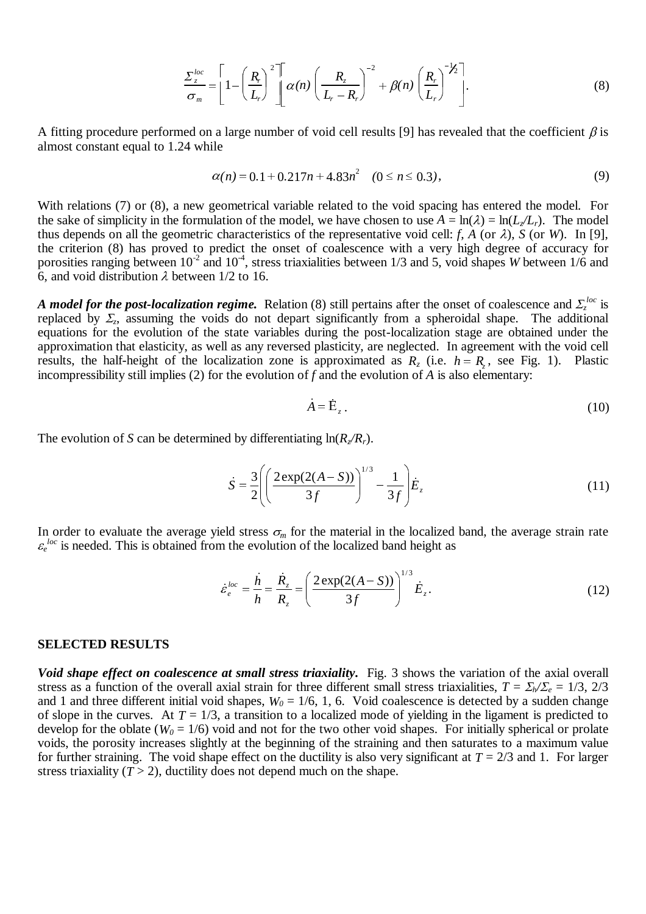$$
\frac{\Sigma_z^{loc}}{\sigma_m} = \left[1 - \left(\frac{R_r}{L_r}\right)^2\right] \left[\alpha(n)\left(\frac{R_z}{L_r - R_r}\right)^{-2} + \beta(n)\left(\frac{R_r}{L_r}\right)^{-1/2}\right].\tag{8}
$$

A fitting procedure performed on a large number of void cell results [9] has revealed that the coefficient  $\beta$  is almost constant equal to 1.24 while

$$
\alpha(n) = 0.1 + 0.217n + 4.83n^2 \quad (0 \le n \le 0.3), \tag{9}
$$

With relations (7) or (8), a new geometrical variable related to the void spacing has entered the model. For the sake of simplicity in the formulation of the model, we have chosen to use  $A = \ln(\lambda) = \ln(L/L_r)$ . The model thus depends on all the geometric characteristics of the representative void cell: *f*, *A* (or  $\lambda$ ), *S* (or *W*). In [9], the criterion (8) has proved to predict the onset of coalescence with a very high degree of accuracy for porosities ranging between  $10^{-2}$  and  $10^{-4}$ , stress triaxialities between 1/3 and 5, void shapes *W* between 1/6 and 6, and void distribution  $\lambda$  between 1/2 to 16.

*A model for the post-localization regime.* Relation (8) still pertains after the onset of coalescence and  $\Sigma_z^{loc}$  is replaced by  $\Sigma_z$ , assuming the voids do not depart significantly from a spheroidal shape. The additional equations for the evolution of the state variables during the post-localization stage are obtained under the approximation that elasticity, as well as any reversed plasticity, are neglected. In agreement with the void cell results, the half-height of the localization zone is approximated as  $R_z$  (i.e.  $h = R_z$ , see Fig. 1). Plastic incompressibility still implies (2) for the evolution of *f* and the evolution of *A* is also elementary: during the post-localization stage are obtained under the plasticity, are neglected. In agreement with the void cell approximated as  $R_z$  (i.e.  $h = R_z$ , see Fig. 1). Plastic *f* and the evolution of *A* is also elementary:

$$
A = \dot{E}_z. \tag{10}
$$

The evolution of *S* can be determined by differentiating  $\ln(R_z/R_r)$ .

$$
A = E_z.
$$
\n(10)\n  
\n1 by differentiating  $\ln(R_z/R_r)$ .\n  
\n
$$
\dot{S} = \frac{3}{2} \left( \left( \frac{2 \exp(2(A - S))}{3f} \right)^{1/3} - \frac{1}{3f} \right) \dot{E}_z
$$
\n(11)

In order to evaluate the average yield stress  $\sigma_m$  for the material in the localized band, the average strain rate  $\varepsilon_e^{loc}$  is needed. This is obtained from the evolution of the localized band height as Pld stress  $\sigma_m$  for the material in the localized band he<br> *h* the evolution of the localized band he<br>  $\frac{1}{n} \int_0^{1/x} e^{i\omega} dx = h - R_z$  (2exp(2(A - S)))<sup>1/3</sup>

$$
\dot{\varepsilon}_{e}^{loc} = \frac{\dot{h}}{h} = \frac{\dot{R}_{z}}{R_{z}} = \left(\frac{2 \exp(2(A - S))}{3f}\right)^{1/3} \dot{E}_{z}.
$$
\n(12)

#### **SELECTED RESULTS**

*Void shape effect on coalescence at small stress triaxiality.* Fig. 3 shows the variation of the axial overall stress as a function of the overall axial strain for three different small stress triaxialities,  $T = \Sigma_b / \Sigma_e = 1/3$ , 2/3 and 1 and three different initial void shapes,  $W_0 = 1/6$ , 1, 6. Void coalescence is detected by a sudden change of slope in the curves. At  $T = 1/3$ , a transition to a localized mode of yielding in the ligament is predicted to develop for the oblate ( $W_0 = 1/6$ ) void and not for the two other void shapes. For initially spherical or prolate voids, the porosity increases slightly at the beginning of the straining and then saturates to a maximum value for further straining. The void shape effect on the ductility is also very significant at  $T = 2/3$  and 1. For larger stress triaxiality  $(T > 2)$ , ductility does not depend much on the shape.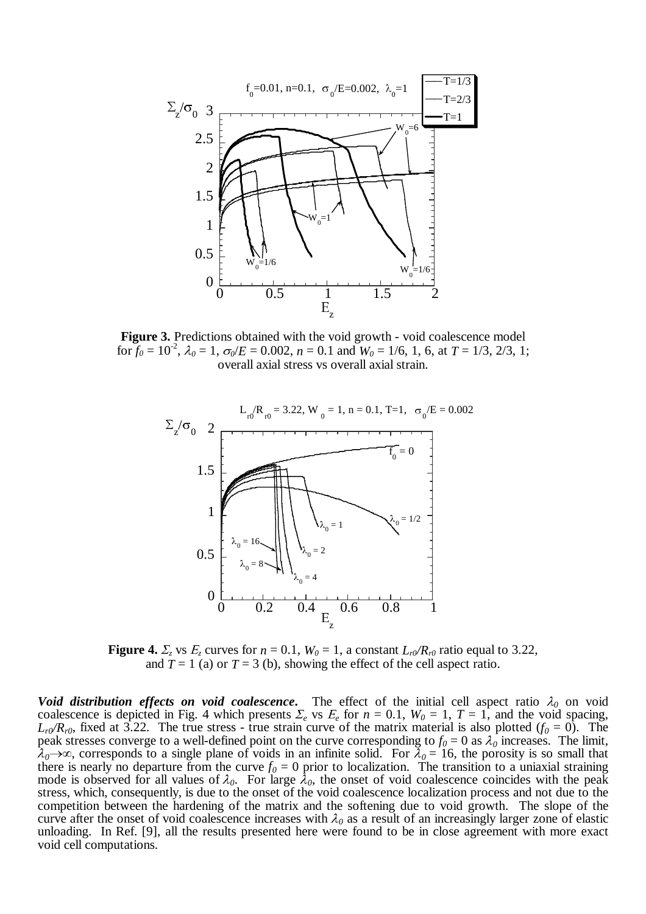

**Figure 3.** Predictions obtained with the void growth - void coalescence model for  $f_0 = 10^{-2}$ ,  $\lambda_0 = 1$ ,  $\sigma_0/E = 0.002$ ,  $n = 0.1$  and  $W_0 = 1/6$ , 1, 6, at  $T = 1/3$ , 2/3, 1; overall axial stress vs overall axial strain.



**Figure 4.**  $\Sigma_z$  vs  $E_z$  curves for  $n = 0.1$ ,  $W_0 = 1$ , a constant  $L_v/R_v$  ratio equal to 3.22, and  $T = 1$  (a) or  $T = 3$  (b), showing the effect of the cell aspect ratio.

*Void distribution effects on void coalescence*. The effect of the initial cell aspect ratio  $\lambda_0$  on void coalescence is depicted in Fig. 4 which presents  $\Sigma_e$  vs  $E_e$  for  $n = 0.1$ ,  $W_0 = 1$ ,  $T = 1$ , and the void spacing,  $L_r\gamma R_r$ <sup>0</sup>, fixed at 3.22. The true stress - true strain curve of the matrix material is also plotted ( $f_0 = 0$ ). The peak stresses converge to a well-defined point on the curve corresponding to  $f_0 = 0$  as  $\lambda_0$  increases. The limit,  $\lambda_0 \to \infty$ , corresponds to a single plane of voids in an infinite solid. For  $\lambda_0 = 16$ , the porosity is so small that there is nearly no departure from the curve  $f_0 = 0$  prior to localization. The transition to a uniaxial straining mode is observed for all values of  $\lambda_0$ . For large  $\lambda_0$ , the onset of void coalescence coincides with the peak stress, which, consequently, is due to the onset of the void coalescence localization process and not due to the competition between the hardening of the matrix and the softening due to void growth. The slope of the curve after the onset of void coalescence increases with  $\lambda_0$  as a result of an increasingly larger zone of elastic unloading. In Ref. [9], all the results presented here were found to be in close agreement with more exact void cell computations.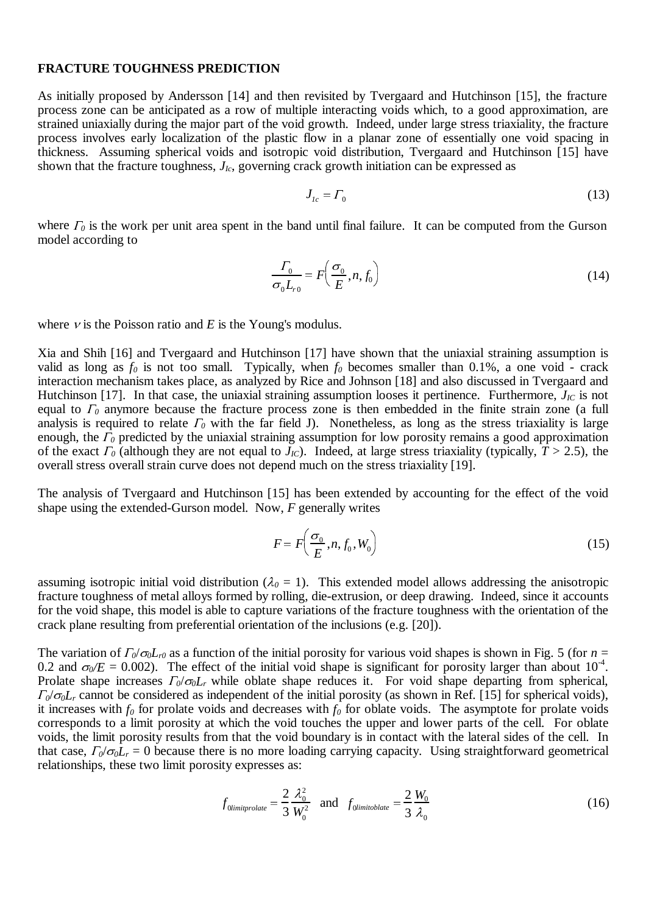#### **FRACTURE TOUGHNESS PREDICTION**

As initially proposed by Andersson [14] and then revisited by Tvergaard and Hutchinson [15], the fracture process zone can be anticipated as a row of multiple interacting voids which, to a good approximation, are strained uniaxially during the major part of the void growth. Indeed, under large stress triaxiality, the fracture process involves early localization of the plastic flow in a planar zone of essentially one void spacing in thickness. Assuming spherical voids and isotropic void distribution, Tvergaard and Hutchinson [15] have shown that the fracture toughness, *JIc*, governing crack growth initiation can be expressed as

$$
J_{Ic} = \Gamma_0 \tag{13}
$$

where  $\Gamma_0$  is the work per unit area spent in the band until final failure. It can be computed from the Gurson model according to

$$
\frac{\Gamma_0}{\sigma_0 L_{r0}} = F\left(\frac{\sigma_0}{E}, n, f_0\right) \tag{14}
$$

where  $\nu$  is the Poisson ratio and *E* is the Young's modulus.

Xia and Shih [16] and Tvergaard and Hutchinson [17] have shown that the uniaxial straining assumption is valid as long as  $f_0$  is not too small. Typically, when  $f_0$  becomes smaller than 0.1%, a one void - crack interaction mechanism takes place, as analyzed by Rice and Johnson [18] and also discussed in Tvergaard and Hutchinson [17]. In that case, the uniaxial straining assumption looses it pertinence. Furthermore,  $J_{IC}$  is not equal to  $\Gamma_0$  anymore because the fracture process zone is then embedded in the finite strain zone (a full analysis is required to relate  $\Gamma_0$  with the far field J). Nonetheless, as long as the stress triaxiality is large enough, the  $\Gamma_0$  predicted by the uniaxial straining assumption for low porosity remains a good approximation of the exact  $\Gamma_0$  (although they are not equal to  $J_{IC}$ ). Indeed, at large stress triaxiality (typically,  $T > 2.5$ ), the overall stress overall strain curve does not depend much on the stress triaxiality [19].

The analysis of Tvergaard and Hutchinson [15] has been extended by accounting for the effect of the void shape using the extended-Gurson model. Now, *F* generally writes

$$
F = F\left(\frac{\sigma_0}{E}, n, f_0, W_0\right) \tag{15}
$$

assuming isotropic initial void distribution ( $\lambda_0 = 1$ ). This extended model allows addressing the anisotropic fracture toughness of metal alloys formed by rolling, die-extrusion, or deep drawing. Indeed, since it accounts for the void shape, this model is able to capture variations of the fracture toughness with the orientation of the crack plane resulting from preferential orientation of the inclusions (e.g. [20]).

The variation of  $\Gamma_0/\sigma_0L_{r0}$  as a function of the initial porosity for various void shapes is shown in Fig. 5 (for  $n =$ 0.2 and  $\sigma_0/E = 0.002$ ). The effect of the initial void shape is significant for porosity larger than about 10<sup>-4</sup>. Prolate shape increases  $\Gamma_0/\sigma_0L_r$  while oblate shape reduces it. For void shape departing from spherical,  $T_0/\sigma_0L_r$  cannot be considered as independent of the initial porosity (as shown in Ref. [15] for spherical voids), it increases with  $f_0$  for prolate voids and decreases with  $f_0$  for oblate voids. The asymptote for prolate voids corresponds to a limit porosity at which the void touches the upper and lower parts of the cell. For oblate voids, the limit porosity results from that the void boundary is in contact with the lateral sides of the cell. In that case,  $\Gamma_0/\sigma_0L_r = 0$  because there is no more loading carrying capacity. Using straightforward geometrical relationships, these two limit porosity expresses as:

$$
f_{0\text{limit}prolate} = \frac{2}{3} \frac{\lambda_0^2}{W_0^2} \quad \text{and} \quad f_{0\text{limit}oblate} = \frac{2}{3} \frac{W_0}{\lambda_0} \tag{16}
$$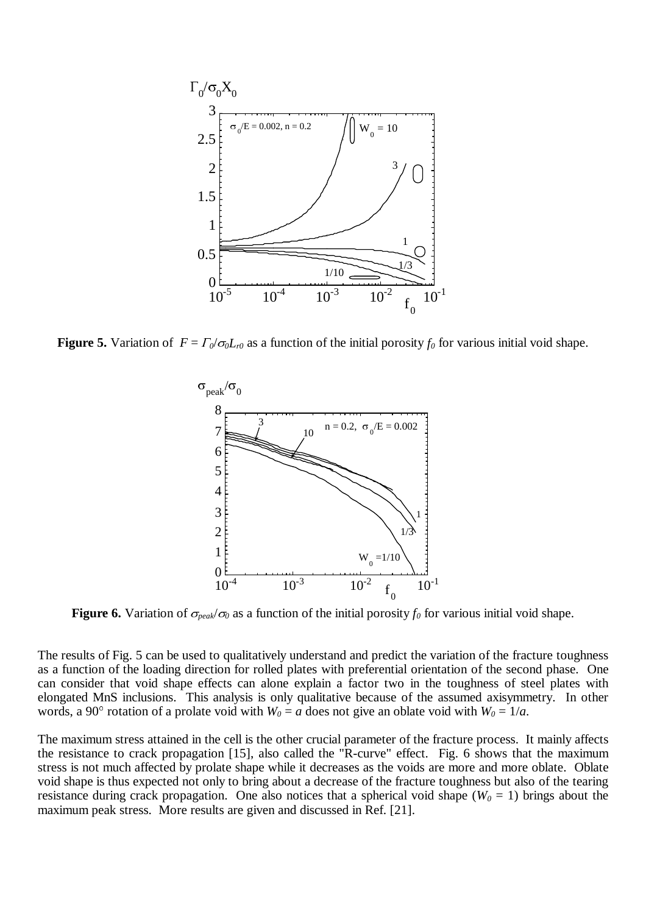

**Figure 5.** Variation of  $F = \frac{\Gamma_0}{\sigma_0 L_{r0}}$  as a function of the initial porosity  $f_0$  for various initial void shape.



**Figure 6.** Variation of  $\sigma_{peak}/\sigma_0$  as a function of the initial porosity  $f_0$  for various initial void shape.

The results of Fig. 5 can be used to qualitatively understand and predict the variation of the fracture toughness as a function of the loading direction for rolled plates with preferential orientation of the second phase. One can consider that void shape effects can alone explain a factor two in the toughness of steel plates with elongated MnS inclusions. This analysis is only qualitative because of the assumed axisymmetry. In other words, a 90° rotation of a prolate void with  $W_0 = a$  does not give an oblate void with  $W_0 = 1/a$ .

The maximum stress attained in the cell is the other crucial parameter of the fracture process. It mainly affects the resistance to crack propagation [15], also called the "R-curve" effect. Fig. 6 shows that the maximum stress is not much affected by prolate shape while it decreases as the voids are more and more oblate. Oblate void shape is thus expected not only to bring about a decrease of the fracture toughness but also of the tearing resistance during crack propagation. One also notices that a spherical void shape ( $W_0 = 1$ ) brings about the maximum peak stress. More results are given and discussed in Ref. [21].